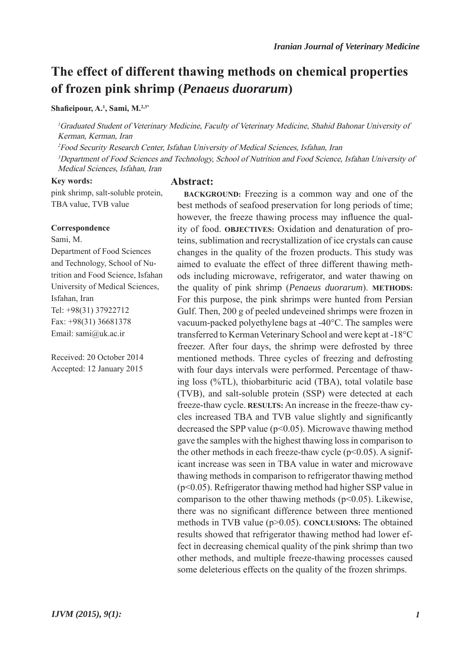# **The effect of different thawing methods on chemical properties of frozen pink shrimp (***Penaeus duorarum***)**

**Shafieipour, A.1 , Sami, M.2,3\***

<sup>1</sup>Graduated Student of Veterinary Medicine, Faculty of Veterinary Medicine, Shahid Bahonar University of Kerman, Kerman, Iran

<sup>2</sup>Food Security Research Center, Isfahan University of Medical Sciences, Isfahan, Iran

<sup>3</sup>Department of Food Sciences and Technology, School of Nutrition and Food Science, Isfahan University of Medical Sciences, Isfahan, Iran

#### **Key words:**

pink shrimp, salt-soluble protein, TBA value, TVB value

### **Correspondence**

Sami, M.

Department of Food Sciences and Technology, School of Nutrition and Food Science, Isfahan University of Medical Sciences, Isfahan, Iran Tel: +98(31) 37922712 Fax: +98(31) 36681378 Email: sami@uk.ac.ir

Received: 20 October 2014 Accepted: 12 January 2015

#### **Abstract:**

**BACKGROUND:** Freezing is a common way and one of the best methods of seafood preservation for long periods of time; however, the freeze thawing process may influence the quality of food. **OBJECTIVES:** Oxidation and denaturation of proteins, sublimation and recrystallization of ice crystals can cause changes in the quality of the frozen products. This study was aimed to evaluate the effect of three different thawing methods including microwave, refrigerator, and water thawing on the quality of pink shrimp (*Penaeus duorarum*). **METHODS:** For this purpose, the pink shrimps were hunted from Persian Gulf. Then, 200 g of peeled undeveined shrimps were frozen in vacuum-packed polyethylene bags at -40°C. The samples were transferred to Kerman Veterinary School and were kept at -18°C freezer. After four days, the shrimp were defrosted by three mentioned methods. Three cycles of freezing and defrosting with four days intervals were performed. Percentage of thawing loss (%TL), thiobarbituric acid (TBA), total volatile base (TVB), and salt-soluble protein (SSP) were detected at each freeze-thaw cycle. **RESULTS:** An increase in the freeze-thaw cycles increased TBA and TVB value slightly and significantly decreased the SPP value (p<0.05). Microwave thawing method gave the samples with the highest thawing loss in comparison to the other methods in each freeze-thaw cycle  $(p<0.05)$ . A significant increase was seen in TBA value in water and microwave thawing methods in comparison to refrigerator thawing method (p<0.05). Refrigerator thawing method had higher SSP value in comparison to the other thawing methods  $(p<0.05)$ . Likewise, there was no significant difference between three mentioned methods in TVB value (p>0.05). **CONCLUSIONS:** The obtained results showed that refrigerator thawing method had lower effect in decreasing chemical quality of the pink shrimp than two other methods, and multiple freeze-thawing processes caused some deleterious effects on the quality of the frozen shrimps.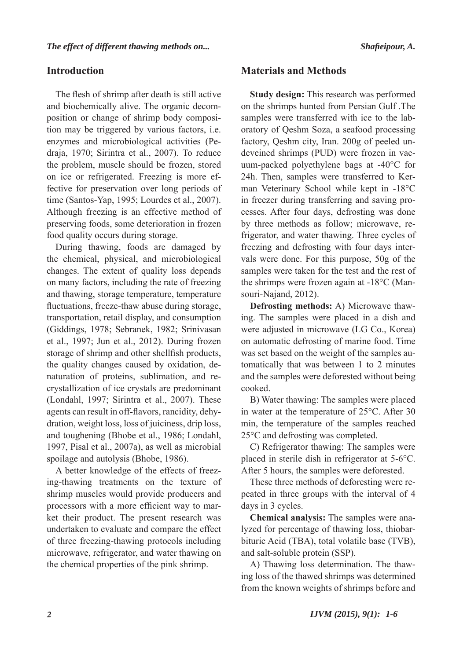# **Introduction**

The flesh of shrimp after death is still active and biochemically alive. The organic decomposition or change of shrimp body composition may be triggered by various factors, i.e. enzymes and microbiological activities (Pedraja, 1970; Sirintra et al., 2007). To reduce the problem, muscle should be frozen, stored on ice or refrigerated. Freezing is more effective for preservation over long periods of time (Santos-Yap, 1995; Lourdes et al., 2007). Although freezing is an effective method of preserving foods, some deterioration in frozen food quality occurs during storage.

During thawing, foods are damaged by the chemical, physical, and microbiological changes. The extent of quality loss depends on many factors, including the rate of freezing and thawing, storage temperature, temperature fluctuations, freeze-thaw abuse during storage, transportation, retail display, and consumption (Giddings, 1978; Sebranek, 1982; Srinivasan et al., 1997; Jun et al., 2012). During frozen storage of shrimp and other shellfish products, the quality changes caused by oxidation, denaturation of proteins, sublimation, and recrystallization of ice crystals are predominant (Londahl, 1997; Sirintra et al., 2007). These agents can result in off-flavors, rancidity, dehydration, weight loss, loss of juiciness, drip loss, and toughening (Bhobe et al., 1986; Londahl, 1997, Pisal et al., 2007a), as well as microbial spoilage and autolysis (Bhobe, 1986).

A better knowledge of the effects of freezing-thawing treatments on the texture of shrimp muscles would provide producers and processors with a more efficient way to market their product. The present research was undertaken to evaluate and compare the effect of three freezing-thawing protocols including microwave, refrigerator, and water thawing on the chemical properties of the pink shrimp.

## **Materials and Methods**

**Study design:** This research was performed on the shrimps hunted from Persian Gulf .The samples were transferred with ice to the laboratory of Qeshm Soza, a seafood processing factory, Qeshm city, Iran. 200g of peeled undeveined shrimps (PUD) were frozen in vacuum-packed polyethylene bags at -40°C for 24h. Then, samples were transferred to Kerman Veterinary School while kept in -18°C in freezer during transferring and saving processes. After four days, defrosting was done by three methods as follow; microwave, refrigerator, and water thawing. Three cycles of freezing and defrosting with four days intervals were done. For this purpose, 50g of the samples were taken for the test and the rest of the shrimps were frozen again at -18°C (Mansouri-Najand, 2012).

**Defrosting methods:** A) Microwave thawing. The samples were placed in a dish and were adjusted in microwave (LG Co., Korea) on automatic defrosting of marine food. Time was set based on the weight of the samples automatically that was between 1 to 2 minutes and the samples were deforested without being cooked.

B) Water thawing: The samples were placed in water at the temperature of 25°C. After 30 min, the temperature of the samples reached 25°C and defrosting was completed.

C) Refrigerator thawing: The samples were placed in sterile dish in refrigerator at 5-6°C. After 5 hours, the samples were deforested.

These three methods of deforesting were repeated in three groups with the interval of 4 days in 3 cycles.

**Chemical analysis:** The samples were analyzed for percentage of thawing loss, thiobarbituric Acid (TBA), total volatile base (TVB), and salt-soluble protein (SSP).

A) Thawing loss determination. The thawing loss of the thawed shrimps was determined from the known weights of shrimps before and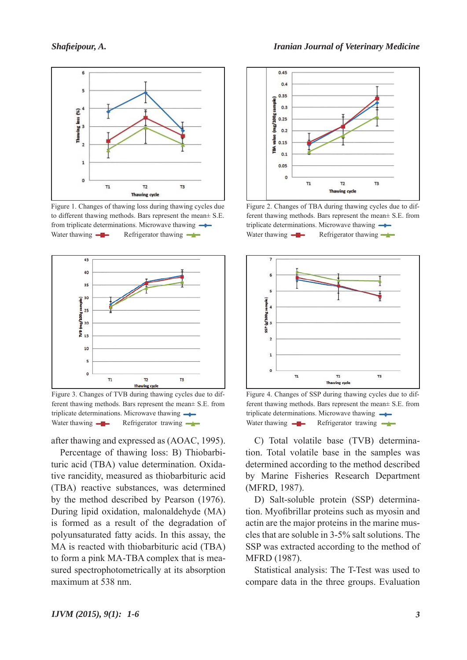

Figure 1. Changes of thawing loss during thawing cycles due to different thawing methods. Bars represent the mean± S.E. from triplicate determinations. Microwave thawing  $\rightarrow$ Water thawing  $\leftarrow$  Refrigerator thawing  $\leftarrow$ 



Figure 3. Changes of TVB during thawing cycles due to different thawing methods. Bars represent the mean± S.E. from triplicate determinations. Microwave thawing  $\rightarrow$ Water thawing  $\leftarrow$  Refrigerator trawing  $\leftarrow$ 

after thawing and expressed as (AOAC, 1995).

Percentage of thawing loss: B) Thiobarbituric acid (TBA) value determination. Oxidative rancidity, measured as thiobarbituric acid (TBA) reactive substances, was determined by the method described by Pearson (1976). During lipid oxidation, malonaldehyde (MA) is formed as a result of the degradation of polyunsaturated fatty acids. In this assay, the MA is reacted with thiobarbituric acid (TBA) to form a pink MA-TBA complex that is measured spectrophotometrically at its absorption maximum at 538 nm.



Figure 2. Changes of TBA during thawing cycles due to different thawing methods. Bars represent the mean± S.E. from triplicate determinations. Microwave thawing Water thawing  $\leftarrow$  Refrigerator thawing  $\leftarrow$ 



Figure 4. Changes of SSP during thawing cycles due to different thawing methods. Bars represent the mean± S.E. from triplicate determinations. Microwave thawing Water thawing  $\leftarrow$  Refrigerator trawing  $\leftarrow$ 

C) Total volatile base (TVB) determination. Total volatile base in the samples was determined according to the method described by Marine Fisheries Research Department (MFRD, 1987).

D) Salt-soluble protein (SSP) determination. Myofibrillar proteins such as myosin and actin are the major proteins in the marine muscles that are soluble in 3-5% salt solutions. The SSP was extracted according to the method of MFRD (1987).

Statistical analysis: The T-Test was used to compare data in the three groups. Evaluation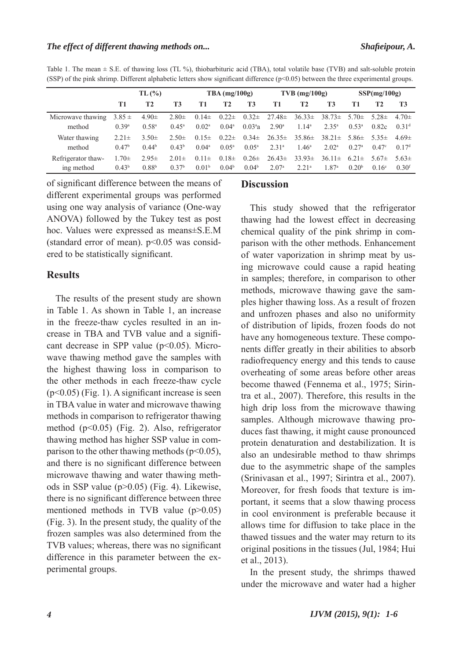Table 1. The mean  $\pm$  S.E. of thawing loss (TL %), thiobarbituric acid (TBA), total volatile base (TVB) and salt-soluble protein (SSP) of the pink shrimp. Different alphabetic letters show significant difference (p<0.05) between the three experimental groups.

|                                  | TL(%)                           |                                 |                                 | $TBA$ (mg/100g)                 |                                |                                | $TVB$ (mg/100g)                                      |                              |                                                      | SSP(mg/100g)                    |                             |                                 |
|----------------------------------|---------------------------------|---------------------------------|---------------------------------|---------------------------------|--------------------------------|--------------------------------|------------------------------------------------------|------------------------------|------------------------------------------------------|---------------------------------|-----------------------------|---------------------------------|
|                                  | T1                              | T <sub>2</sub>                  | <b>T3</b>                       | Т1                              | T2                             | T <sub>3</sub>                 | T1                                                   | <b>T2</b>                    | <b>T3</b>                                            | Т1                              | T <sub>2</sub>              | T <sub>3</sub>                  |
| Microwave thawing<br>method      | $3.85 \pm$<br>0.39a             | $4.90 \pm$<br>0.58 <sup>a</sup> | $2.80 \pm$<br>$0.45^{\rm a}$    | $0.02^{\rm a}$                  | $0.04^{\rm a}$                 | $0.03^{a}a$                    | $0.14\pm 0.22\pm 0.32\pm 27.48\pm$<br>$2.90^{\circ}$ | $36.33\pm$<br>$1.14^a$       | $38.73 \pm 5.70 \pm 5.28 \pm 5.28$<br>$2.35^{\rm a}$ | $0.53^{\rm a}$                  | 0.82c                       | $4.70 \pm$<br>0.31 <sup>d</sup> |
| Water thawing<br>method          | $2.21 \pm$<br>0.47 <sup>b</sup> | 3.50 $\pm$<br>0.44 <sup>b</sup> | $2.50 \pm$<br>0.43 <sup>b</sup> | $0.15\pm$<br>$0.04^{\rm a}$     | $0.22 \pm$<br>$0.05^{\rm a}$   | $0.34\pm$<br>$0.05^{\rm a}$    | $26.35\pm$<br>2.31 <sup>a</sup>                      | $35.86\pm$<br>$1.46^{\rm a}$ | $38.21 \pm 5.86 \pm 5.35 \pm 1$<br>$2.02^{\rm a}$    | 0.27 <sup>a</sup>               | $0.47^{\circ}$              | $4.69 \pm$<br>0.17 <sup>d</sup> |
| Refrigerator thaw-<br>ing method | $1.70 \pm$<br>0.43 <sup>b</sup> | $2.95\pm$<br>0.88 <sup>b</sup>  | $2.01 \pm$<br>0.37 <sup>b</sup> | $0.11 \pm$<br>0.01 <sup>b</sup> | $0.18\pm$<br>0.04 <sup>b</sup> | $0.26\pm$<br>0.04 <sup>b</sup> | $26.43\pm$<br>$2.07^{\circ}$                         | $33.93\pm$<br>$2.21^{\circ}$ | $36.11 \pm$<br>1.87 <sup>a</sup>                     | $6.21 \pm$<br>0.20 <sup>b</sup> | $5.67\pm$<br>$0.16^{\circ}$ | $5.63\pm$<br>$0.30^{f}$         |

of significant difference between the means of different experimental groups was performed using one way analysis of variance (One-way ANOVA) followed by the Tukey test as post hoc. Values were expressed as means±S.E.M (standard error of mean).  $p<0.05$  was considered to be statistically significant.

### **Results**

The results of the present study are shown in Table 1. As shown in Table 1, an increase in the freeze-thaw cycles resulted in an increase in TBA and TVB value and a significant decrease in SPP value  $(p<0.05)$ . Microwave thawing method gave the samples with the highest thawing loss in comparison to the other methods in each freeze-thaw cycle  $(p<0.05)$  (Fig. 1). A significant increase is seen in TBA value in water and microwave thawing methods in comparison to refrigerator thawing method (p<0.05) (Fig. 2). Also, refrigerator thawing method has higher SSP value in comparison to the other thawing methods  $(p<0.05)$ , and there is no significant difference between microwave thawing and water thawing methods in SSP value (p>0.05) (Fig. 4). Likewise, there is no significant difference between three mentioned methods in TVB value (p>0.05) (Fig. 3). In the present study, the quality of the frozen samples was also determined from the TVB values; whereas, there was no significant difference in this parameter between the experimental groups.

### **Discussion**

This study showed that the refrigerator thawing had the lowest effect in decreasing chemical quality of the pink shrimp in comparison with the other methods. Enhancement of water vaporization in shrimp meat by using microwave could cause a rapid heating in samples; therefore, in comparison to other methods, microwave thawing gave the samples higher thawing loss. As a result of frozen and unfrozen phases and also no uniformity of distribution of lipids, frozen foods do not have any homogeneous texture. These components differ greatly in their abilities to absorb radiofrequency energy and this tends to cause overheating of some areas before other areas become thawed (Fennema et al., 1975; Sirintra et al., 2007). Therefore, this results in the high drip loss from the microwave thawing samples. Although microwave thawing produces fast thawing, it might cause pronounced protein denaturation and destabilization. It is also an undesirable method to thaw shrimps due to the asymmetric shape of the samples (Srinivasan et al., 1997; Sirintra et al., 2007). Moreover, for fresh foods that texture is important, it seems that a slow thawing process in cool environment is preferable because it allows time for diffusion to take place in the thawed tissues and the water may return to its original positions in the tissues (Jul, 1984; Hui et al., 2013).

In the present study, the shrimps thawed under the microwave and water had a higher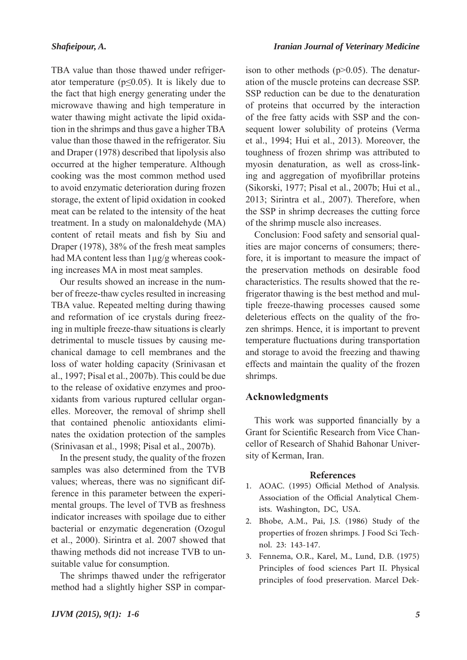*Iranian Journal of Veterinary Medicine*

TBA value than those thawed under refrigerator temperature ( $p \le 0.05$ ). It is likely due to the fact that high energy generating under the microwave thawing and high temperature in water thawing might activate the lipid oxidation in the shrimps and thus gave a higher TBA value than those thawed in the refrigerator. Siu and Draper (1978) described that lipolysis also occurred at the higher temperature. Although cooking was the most common method used to avoid enzymatic deterioration during frozen storage, the extent of lipid oxidation in cooked meat can be related to the intensity of the heat treatment. In a study on malonaldehyde (MA) content of retail meats and fish by Siu and Draper (1978), 38% of the fresh meat samples had MA content less than 1μg/g whereas cooking increases MA in most meat samples.

Our results showed an increase in the number of freeze-thaw cycles resulted in increasing TBA value. Repeated melting during thawing and reformation of ice crystals during freezing in multiple freeze-thaw situations is clearly detrimental to muscle tissues by causing mechanical damage to cell membranes and the loss of water holding capacity (Srinivasan et al., 1997; Pisal et al., 2007b). This could be due to the release of oxidative enzymes and prooxidants from various ruptured cellular organelles. Moreover, the removal of shrimp shell that contained phenolic antioxidants eliminates the oxidation protection of the samples (Srinivasan et al., 1998; Pisal et al., 2007b).

In the present study, the quality of the frozen samples was also determined from the TVB values; whereas, there was no significant difference in this parameter between the experimental groups. The level of TVB as freshness indicator increases with spoilage due to either bacterial or enzymatic degeneration (Ozogul et al., 2000). Sirintra et al. 2007 showed that thawing methods did not increase TVB to unsuitable value for consumption.

The shrimps thawed under the refrigerator method had a slightly higher SSP in comparison to other methods (p>0.05). The denaturation of the muscle proteins can decrease SSP. SSP reduction can be due to the denaturation of proteins that occurred by the interaction of the free fatty acids with SSP and the consequent lower solubility of proteins (Verma et al., 1994; Hui et al., 2013). Moreover, the toughness of frozen shrimp was attributed to myosin denaturation, as well as cross-linking and aggregation of myofibrillar proteins (Sikorski, 1977; Pisal et al., 2007b; Hui et al., 2013; Sirintra et al., 2007). Therefore, when the SSP in shrimp decreases the cutting force of the shrimp muscle also increases.

Conclusion: Food safety and sensorial qualities are major concerns of consumers; therefore, it is important to measure the impact of the preservation methods on desirable food characteristics. The results showed that the refrigerator thawing is the best method and multiple freeze-thawing processes caused some deleterious effects on the quality of the frozen shrimps. Hence, it is important to prevent temperature fluctuations during transportation and storage to avoid the freezing and thawing effects and maintain the quality of the frozen shrimps.

### **Acknowledgments**

This work was supported financially by a Grant for Scientific Research from Vice Chancellor of Research of Shahid Bahonar University of Kerman, Iran.

### **References**

- AOAC. (1995) Official Method of Analysis. 1. Association of the Official Analytical Chemists. Washington, DC, USA.
- Bhobe, A.M., Pai, J.S. (1986) Study of the properties of frozen shrimps. J Food Sci Technol. 23: 143-147. 2.
- Fennema, O.R., Karel, M., Lund, D.B. (1975) 3. Principles of food sciences Part II. Physical principles of food preservation. Marcel Dek-